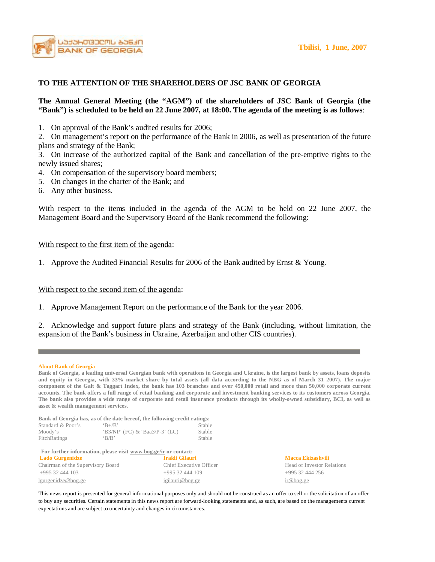

## **TO THE ATTENTION OF THE SHAREHOLDERS OF JSC BANK OF GEORGIA**

### **The Annual General Meeting (the "AGM") of the shareholders of JSC Bank of Georgia (the**  "Bank") is scheduled to be held on 22 June 2007, at 18:00. The agenda of the meeting is as follows:

1. On approval of the Bank's audited results for 2006;

2. On management's report on the performance of the Bank in 2006, as well as presentation of the future plans and strategy of the Bank;

3. On increase of the authorized capital of the Bank and cancellation of the pre-emptive rights to the newly issued shares;

- 4. On compensation of the supervisory board members;
- 5. On changes in the charter of the Bank; and
- 6. Any other business.

With respect to the items included in the agenda of the AGM to be held on 22 June 2007, the Management Board and the Supervisory Board of the Bank recommend the following:

#### With respect to the first item of the agenda:

1. Approve the Audited Financial Results for 2006 of the Bank audited by Ernst & Young.

### With respect to the second item of the agenda:

1. Approve Management Report on the performance of the Bank for the year 2006.

2. Acknowledge and support future plans and strategy of the Bank (including, without limitation, the expansion of the Bank's business in Ukraine, Azerbaijan and other CIS countries).

#### **About Bank of Georgia**

Bank of Georgia, a leading universal Georgian bank with operations in Georgia and Ukraine, is the largest bank by assets, loans deposits and equity in Georgia, with 33% market share by total assets (all data according to the NBG as of March 31 2007). The major component of the Galt & Taggart Index, the bank has 103 branches and over 450,000 retail and more than 50,000 corporate current accounts. The bank offers a full range of retail banking and corporate and investment banking services to its customers across Georgia. The bank also provides a wide range of corporate and retail insurance products through its wholly-owned subsidiary, BCI, as well as **asset & wealth management services.** 

**Bank of Georgia has, as of the date hereof, the following credit ratings:** 

| Standard & Poor's | $R+/R$                           | Stable |
|-------------------|----------------------------------|--------|
| Moody's           | $(B3/NP' (FC) & Baa3/P-3' (LC))$ | Stable |
| FitchRatings      | B/B                              | Stable |

 **For further information, please visit [www.bog.ge/ir](http://www.bog.ge/ir) or contact: Lado Gurgenidze Irakli Gilauri Macca Ekizashvili** 

| $\sim$                            | -------------------     | -------------- |
|-----------------------------------|-------------------------|----------------|
| Chairman of the Supervisory Board | Chief Executive Officer | Head of In     |
| +995 32 444 103                   | $+99532444109$          | $+995324$      |
| lgurgenidze@bog.ge                | igilauri@bog.ge         | $ir@$ bog.ge   |

Head of Investor Relations +995 32 444 256

This news report is presented for general informational purposes only and should not be construed as an offer to sell or the solicitation of an offer to buy any securities. Certain statements in this news report are forward-looking statements and, as such, are based on the managements current expectations and are subject to uncertainty and changes in circumstances.